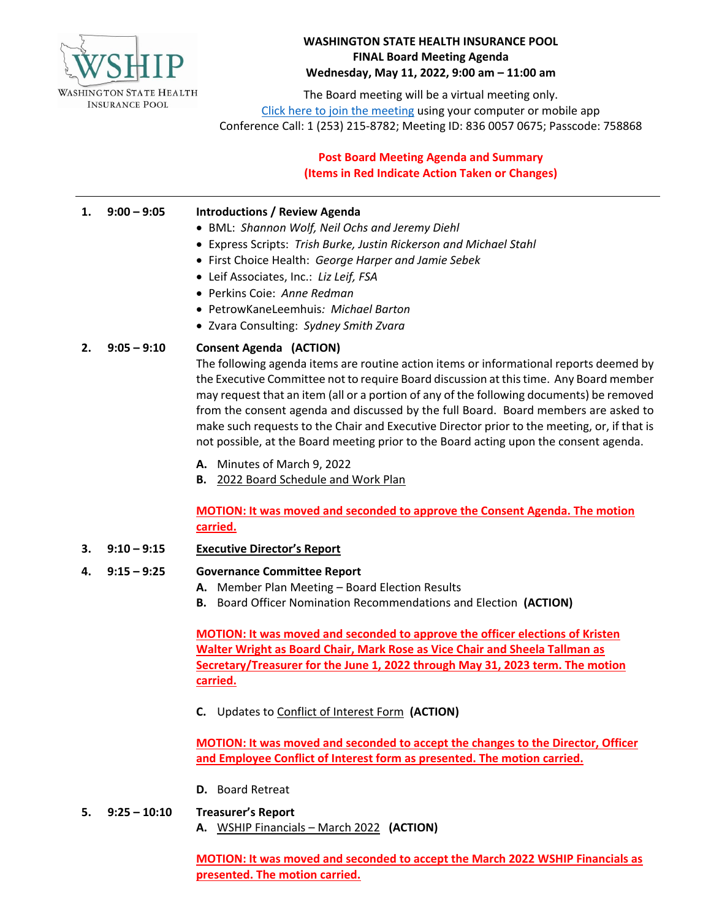

## **WASHINGTON STATE HEALTH INSURANCE POOL FINAL Board Meeting Agenda Wednesday, May 11, 2022, 9:00 am – 11:00 am**

The Board meeting will be a virtual meeting only. [Click here to join the meeting](https://us06web.zoom.us/j/83600570675?pwd=dWE0RXY0Z2JjeVpwcjdlYnBxdVYxdz09) using your computer or mobile app Conference Call: 1 (253) 215-8782; Meeting ID: 836 0057 0675; Passcode: 758868

# **Post Board Meeting Agenda and Summary (Items in Red Indicate Action Taken or Changes)**

#### **1. 9:00 – 9:05 Introductions / Review Agenda**

- BML: *Shannon Wolf, Neil Ochs and Jeremy Diehl*
- Express Scripts: *Trish Burke, Justin Rickerson and Michael Stahl*
- First Choice Health: *George Harper and Jamie Sebek*
- Leif Associates, Inc.: *Liz Leif, FSA*
- Perkins Coie: *Anne Redman*
- PetrowKaneLeemhuis*: Michael Barton*
- Zvara Consulting: *Sydney Smith Zvara*

#### **2. 9:05 – 9:10 Consent Agenda (ACTION)**

The following agenda items are routine action items or informational reports deemed by the Executive Committee not to require Board discussion at this time. Any Board member may request that an item (all or a portion of any of the following documents) be removed from the consent agenda and discussed by the full Board. Board members are asked to make such requests to the Chair and Executive Director prior to the meeting, or, if that is not possible, at the Board meeting prior to the Board acting upon the consent agenda.

- **A.** Minutes of March 9, 2022
- **B.** 2022 Board Schedule and Work Plan

**MOTION: It was moved and seconded to approve the Consent Agenda. The motion carried.**

**3. 9:10 – 9:15 Executive Director's Report**

## **4. 9:15 – 9:25 Governance Committee Report**

- **A.** Member Plan Meeting Board Election Results
- **B.** Board Officer Nomination Recommendations and Election **(ACTION)**

**MOTION: It was moved and seconded to approve the officer elections of Kristen Walter Wright as Board Chair, Mark Rose as Vice Chair and Sheela Tallman as Secretary/Treasurer for the June 1, 2022 through May 31, 2023 term. The motion carried.**

**C.** Updates to Conflict of Interest Form **(ACTION)**

**MOTION: It was moved and seconded to accept the changes to the Director, Officer and Employee Conflict of Interest form as presented. The motion carried.**

- **D.** Board Retreat
- **5. 9:25 – 10:10 Treasurer's Report A.** WSHIP Financials – March 2022 **(ACTION)**

**MOTION: It was moved and seconded to accept the March 2022 WSHIP Financials as presented. The motion carried.**